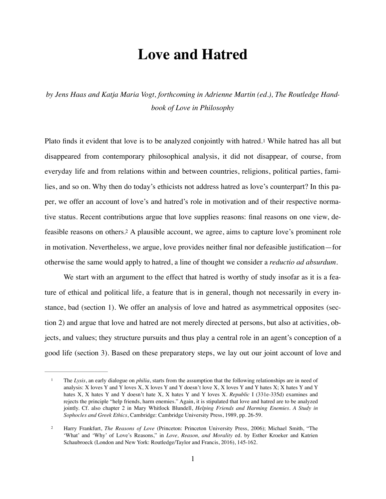# <span id="page-0-2"></span>**Love and Hatred**

*by Jens Haas and Katja Maria Vogt, forthcoming in Adrienne Martin (ed.), The Routledge Handbook of Love in Philosophy*

Plato finds it evident that love is to be analyzed conjointly with hatred.[1](#page-0-0) While hatred has all but disappeared from contemporary philosophical analysis, it did not disappear, of course, from everyday life and from relations within and between countries, religions, political parties, families, and so on. Why then do today's ethicists not address hatred as love's counterpart? In this paper, we offer an account of love's and hatred's role in motivation and of their respective normative status. Recent contributions argue that love supplies reasons: final reasons on one view, defeasible reasons on others[.2](#page-0-1) A plausible account, we agree, aims to capture love's prominent role in motivation. Nevertheless, we argue, love provides neither final nor defeasible justification—for otherwise the same would apply to hatred, a line of thought we consider a *reductio ad absurdum*.

<span id="page-0-3"></span>We start with an argument to the effect that hatred is worthy of study insofar as it is a feature of ethical and political life, a feature that is in general, though not necessarily in every instance, bad (section 1). We offer an analysis of love and hatred as asymmetrical opposites (section 2) and argue that love and hatred are not merely directed at persons, but also at activities, objects, and values; they structure pursuits and thus play a central role in an agent's conception of a good life (section 3). Based on these preparatory steps, we lay out our joint account of love and

<span id="page-0-0"></span><sup>&</sup>lt;sup>[1](#page-0-2)</sup> The *Lysis*, an early dialogue on *philia*, starts from the assumption that the following relationships are in need of analysis: X loves Y and Y loves X, X loves Y and Y doesn't love X, X loves Y and Y hates X; X hates Y and Y hates X, X hates Y and Y doesn't hate X, X hates Y and Y loves X. *Republic* I (331e-335d) examines and rejects the principle "help friends, harm enemies." Again, it is stipulated that love and hatred are to be analyzed jointly. Cf. also chapter 2 in Mary Whitlock Blundell, *Helping Friends and Harming Enemies. A Study in Sophocles and Greek Ethics*, Cambridge: Cambridge University Press, 1989, pp. 26-59.

<span id="page-0-1"></span><sup>&</sup>lt;sup>[2](#page-0-3)</sup> Harry Frankfurt, *The Reasons of Love* (Princeton: Princeton University Press, 2006); Michael Smith, "The 'What' and 'Why' of Love's Reasons," in *Love, Reason, and Morality* ed. by Esther Kroeker and Katrien Schaubroeck (London and New York: Routledge/Taylor and Francis, 2016), 145-162.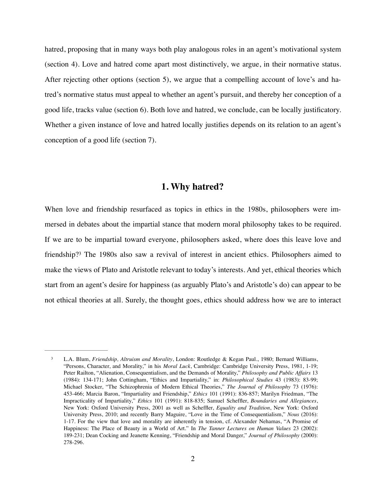hatred, proposing that in many ways both play analogous roles in an agent's motivational system (section 4). Love and hatred come apart most distinctively, we argue, in their normative status. After rejecting other options (section 5), we argue that a compelling account of love's and hatred's normative status must appeal to whether an agent's pursuit, and thereby her conception of a good life, tracks value (section 6). Both love and hatred, we conclude, can be locally justificatory. Whether a given instance of love and hatred locally justifies depends on its relation to an agent's conception of a good life (section 7).

### **1. Why hatred?**

<span id="page-1-1"></span>When love and friendship resurfaced as topics in ethics in the 1980s, philosophers were immersed in debates about the impartial stance that modern moral philosophy takes to be required. If we are to be impartial toward everyone, philosophers asked, where does this leave love and friendship?<sup>3</sup>The 1980s also saw a revival of interest in ancient ethics. Philosophers aimed to make the views of Plato and Aristotle relevant to today's interests. And yet, ethical theories which start from an agent's desire for happiness (as arguably Plato's and Aristotle's do) can appear to be not ethical theories at all. Surely, the thought goes, ethics should address how we are to interact

<span id="page-1-0"></span>L.A. Blum, *Friendship, Altruism and Morality*, London: Routledge & Kegan Paul., 1980; Bernard Williams, [3](#page-1-1) "Persons, Character, and Morality," in his *Moral Luck*, Cambridge: Cambridge University Press, 1981, 1-19; Peter Railton, "Alienation, Consequentialism, and the Demands of Morality," *Philosophy and Public Affairs* 13 (1984): 134-171; John Cottingham, "Ethics and Impartiality," in: *Philosophical Studies* 43 (1983): 83-99; Michael Stocker, "The Schizophrenia of Modern Ethical Theories," *The Journal of Philosophy* 73 (1976): 453-466; Marcia Baron, "Impartiality and Friendship," *Ethics* 101 (1991): 836-857; Marilyn Friedman, "The Impracticality of Impartiality," *Ethics* 101 (1991): 818-835; Samuel Scheffler, *Boundaries and Allegiances*, New York: Oxford University Press, 2001 as well as Scheffler, *Equality and Tradition*, New York: Oxford University Press, 2010; and recently Barry Maguire, "Love in the Time of Consequentialism," *Nous* (2016): 1-17. For the view that love and morality are inherently in tension, cf. Alexander Nehamas, "A Promise of Happiness: The Place of Beauty in a World of Art." In *The Tanner Lectures on Human Values* 23 (2002): 189-231; Dean Cocking and Jeanette Kenning, "Friendship and Moral Danger," *Journal of Philosophy* (2000): 278-296.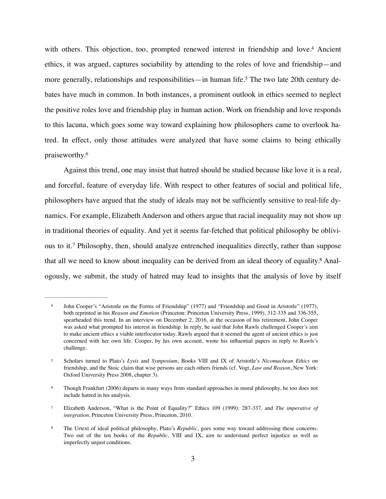<span id="page-2-6"></span><span id="page-2-5"></span>with others[.](#page-2-0) This objection, too, prompted renewed interest in friendship and love.<sup>[4](#page-2-0)</sup> Ancient ethics, it was argued, captures sociability by attending to the roles of love and friendship—and more generally, relationships and responsibilities—in human life.<sup>5</sup> The two late 20th century debates have much in common. In both instances, a prominent outlook in ethics seemed to neglect the positive roles love and friendship play in human action. Work on friendship and love responds to this lacuna, which goes some way toward explaining how philosophers came to overlook hatred. In effect, only those attitudes were analyzed that have some claims to being ethically praiseworthy.[6](#page-2-2)

<span id="page-2-7"></span>Against this trend, one may insist that hatred should be studied because like love it is a real, and forceful, feature of everyday life. With respect to other features of social and political life, philosophers have argued that the study of ideals may not be sufficiently sensitive to real-life dynamics. For example, Elizabeth Anderson and others argue that racial inequality may not show up in traditional theories of equality. And yet it seems far-fetched that political philosophy be oblivi-ous to it.<sup>[7](#page-2-3)</sup> Philosophy, then, should analyze entrenched inequalities directly, rather than suppose that all we need to know about inequality can be derived from an ideal theory of equality[.](#page-2-4)<sup>8</sup> Analogously, we submit, the study of hatred may lead to insights that the analysis of love by itself

<span id="page-2-9"></span><span id="page-2-8"></span><span id="page-2-0"></span><sup>&</sup>lt;sup>[4](#page-2-5)</sup> John Cooper's "Aristotle on the Forms of Friendship" (1977) and "Friendship and Good in Aristotle" (1977), both reprinted in his *Reason and Emotion* (Princeton: Princeton University Press, 1999), 312-335 and 336-355, spearheaded this trend. In an interview on December 2, 2016, at the occasion of his retirement, John Cooper was asked what prompted his interest in friendship. In reply, he said that John Rawls challenged Cooper's aim to make ancient ethics a viable interlocutor today. Rawls argued that it seemed the agent of ancient ethics is just concerned with her own life. Cooper, by his own account, wrote his influential papers in reply to Rawls's challenge.

<span id="page-2-1"></span>Scholars turned to Plato's *Lysis* and *Symposium*, Books VIII and IX of Aristotle's *Nicomachean Ethics* on [5](#page-2-6) friendship, and the Stoic claim that wise persons are each others friends (cf. Vogt, *Law and Reason*, New York: Oxford University Press 2008, chapter 3).

<span id="page-2-2"></span><sup>&</sup>lt;sup>[6](#page-2-7)</sup> Though Frankfurt (2006) departs in many ways from standard approaches in moral philosophy, he too does not include hatred in his analysis.

<span id="page-2-3"></span>Elizabeth Anderson, "What is the Point of Equality?" Ethics 109 (1999): 287-337, and *The imperative of* [7](#page-2-8) *integration*, Princeton University Press, Princeton, 2010.

<span id="page-2-4"></span>The Urtext of ideal political philosophy, Plato's *Republic*, goes some way toward addressing these concerns. [8](#page-2-9) Two out of the ten books of the *Republic*, VIII and IX, aim to understand perfect injustice as well as imperfectly unjust conditions.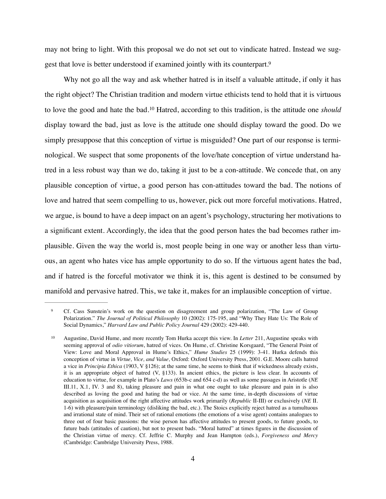<span id="page-3-2"></span>may not bring to light. With this proposal we do not set out to vindicate hatred. Instead we suggest that love is better understood if examined jointly with its counterpart[.9](#page-3-0)

<span id="page-3-3"></span>Why not go all the way and ask whether hatred is in itself a valuable attitude, if only it has the right object? The Christian tradition and modern virtue ethicists tend to hold that it is virtuous to love the good and hate the bad.[10](#page-3-1) Hatred, according to this tradition, is the attitude one *should* display toward the bad, just as love is the attitude one should display toward the good. Do we simply presuppose that this conception of virtue is misguided? One part of our response is terminological. We suspect that some proponents of the love/hate conception of virtue understand hatred in a less robust way than we do, taking it just to be a con-attitude. We concede that, on any plausible conception of virtue, a good person has con-attitudes toward the bad. The notions of love and hatred that seem compelling to us, however, pick out more forceful motivations. Hatred, we argue, is bound to have a deep impact on an agent's psychology, structuring her motivations to a significant extent. Accordingly, the idea that the good person hates the bad becomes rather implausible. Given the way the world is, most people being in one way or another less than virtuous, an agent who hates vice has ample opportunity to do so. If the virtuous agent hates the bad, and if hatred is the forceful motivator we think it is, this agent is destined to be consumed by manifold and pervasive hatred. This, we take it, makes for an implausible conception of virtue.

<span id="page-3-0"></span><sup>&</sup>lt;sup>[9](#page-3-2)</sup> Cf. Cass Sunstein's work on the question on disagreement and group polarization, "The Law of Group Polarization." *The Journal of Political Philosophy* 10 (2002): 175-195, and "Why They Hate Us: The Role of Social Dynamics," *Harvard Law and Public Policy Journal* 429 (2002): 429-440.

<span id="page-3-1"></span><sup>&</sup>lt;sup>[10](#page-3-3)</sup> Augustine, David Hume, and more recently Tom Hurka accept this view. In *Letter* 211, Augustine speaks with seeming approval of *odio vitiorum*, hatred of vices. On Hume, cf. Christine Korsgaard, "The General Point of View: Love and Moral Approval in Hume's Ethics," *Hume Studies* 25 (1999): 3-41. Hurka defends this conception of virtue in *Virtue, Vice, and Value,* Oxford: Oxford University Press, 2001. G.E. Moore calls hatred a vice in *Principia Ethica* (1903, V §126); at the same time, he seems to think that if wickedness already exists, it is an appropriate object of hatred (V, §133). In ancient ethics, the picture is less clear. In accounts of education to virtue, for example in Plato's *Laws* (653b-c and 654 c-d) as well as some passages in Aristotle (*NE* III.11, X.1, IV. 3 and 8), taking pleasure and pain in what one ought to take pleasure and pain in is also described as loving the good and hating the bad or vice. At the same time, in-depth discussions of virtue acquisition as acquisition of the right affective attitudes work primarily (*Republic* II-III) or exclusively (*NE* II. 1-6) with pleasure/pain terminology (disliking the bad, etc.). The Stoics explicitly reject hatred as a tumultuous and irrational state of mind. Their set of rational emotions (the emotions of a wise agent) contains analogues to three out of four basic passions: the wise person has affective attitudes to present goods, to future goods, to future bads (attitudes of caution), but not to present bads. "Moral hatred" at times figures in the discussion of the Christian virtue of mercy. Cf. Jeffrie C. Murphy and Jean Hampton (eds.), *Forgiveness and Mercy* (Cambridge: Cambridge University Press, 1988.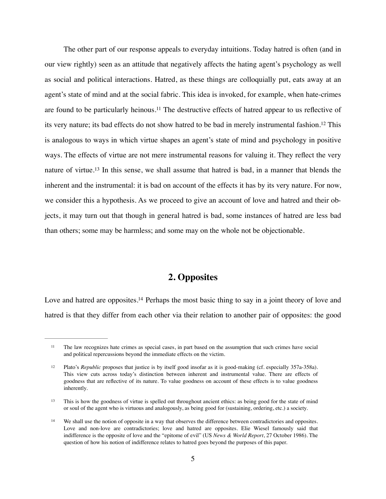<span id="page-4-6"></span><span id="page-4-4"></span>The other part of our response appeals to everyday intuitions. Today hatred is often (and in our view rightly) seen as an attitude that negatively affects the hating agent's psychology as well as social and political interactions. Hatred, as these things are colloquially put, eats away at an agent's state of mind and at the social fabric. This idea is invoked, for example, when hate-crimes are found to be particularly heinous[.](#page-4-0)<sup>[11](#page-4-0)</sup> The destructive effects of hatred appear to us reflective of its very nature; its bad effects do not show hatred to be bad in merely instrumental fashion[.](#page-4-1)<sup>[12](#page-4-1)</sup> This is analogous to ways in which virtue shapes an agent's state of mind and psychology in positive ways. The effects of virtue are not mere instrumental reasons for valuing it. They reflect the very nature of virtue.<sup>[13](#page-4-2)</sup> In this sense, we shall assume that hatred is bad, in a manner that blends the inherent and the instrumental: it is bad on account of the effects it has by its very nature. For now, we consider this a hypothesis. As we proceed to give an account of love and hatred and their objects, it may turn out that though in general hatred is bad, some instances of hatred are less bad than others; some may be harmless; and some may on the whole not be objectionable.

## <span id="page-4-7"></span><span id="page-4-5"></span>**2. Opposites**

Love and hatred are opposites.<sup>[14](#page-4-3)</sup> Perhaps the most basic thing to say in a joint theory of love and hatred is that they differ from each other via their relation to another pair of opposites: the good

<span id="page-4-0"></span><sup>&</sup>lt;sup>[11](#page-4-4)</sup> The law recognizes hate crimes as special cases, in part based on the assumption that such crimes have social and political repercussions beyond the immediate effects on the victim.

<span id="page-4-1"></span><sup>&</sup>lt;sup>[12](#page-4-5)</sup> Plato's *Republic* proposes that justice is by itself good insofar as it is good-making (cf. especially 357a-358a). This view cuts across today's distinction between inherent and instrumental value. There are effects of goodness that are reflective of its nature. To value goodness on account of these effects is to value goodness inherently.

<span id="page-4-2"></span><sup>&</sup>lt;sup>[13](#page-4-6)</sup> This is how the goodness of virtue is spelled out throughout ancient ethics: as being good for the state of mind or soul of the agent who is virtuous and analogously, as being good for (sustaining, ordering, etc.) a society.

<span id="page-4-3"></span><sup>&</sup>lt;sup>[14](#page-4-7)</sup> We shall use the notion of opposite in a way that observes the difference between contradictories and opposites. Love and non-love are contradictories; love and hatred are opposites. Elie Wiesel famously said that indifference is the opposite of love and the "epitome of evil" (US *News & World Report*, 27 October 1986). The question of how his notion of indifference relates to hatred goes beyond the purposes of this paper.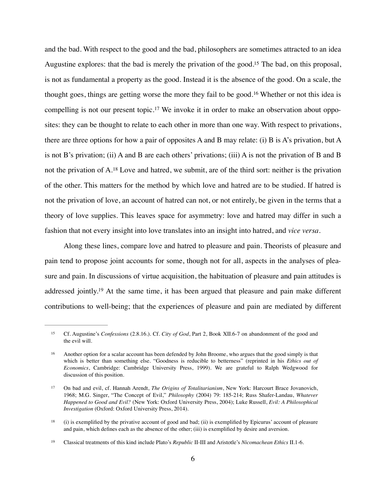<span id="page-5-7"></span><span id="page-5-6"></span><span id="page-5-5"></span>and the bad. With respect to the good and the bad, philosophers are sometimes attracted to an idea Augustine explores: that the bad is merely the privation of the good.<sup>[15](#page-5-0)</sup> The bad, on this proposal, is not as fundamental a property as the good. Instead it is the absence of the good. On a scale, the thoughtgoes, things are getting worse the more they fail to be good.<sup>[16](#page-5-1)</sup> Whether or not this idea is compelling is not our present topic.[17](#page-5-2) We invoke it in order to make an observation about opposites: they can be thought to relate to each other in more than one way. With respect to privations, there are three options for how a pair of opposites A and B may relate: (i) B is A's privation, but A is not B's privation; (ii) A and B are each others' privations; (iii) A is not the privation of B and B not the privation of  $A<sup>18</sup>$  $A<sup>18</sup>$  $A<sup>18</sup>$  Love and hatred, we submit, are of the third sort: neither is the privation of the other. This matters for the method by which love and hatred are to be studied. If hatred is not the privation of love, an account of hatred can not, or not entirely, be given in the terms that a theory of love supplies. This leaves space for asymmetry: love and hatred may differ in such a fashion that not every insight into love translates into an insight into hatred, and *vice versa*.

<span id="page-5-8"></span>Along these lines, compare love and hatred to pleasure and pain. Theorists of pleasure and pain tend to propose joint accounts for some, though not for all, aspects in the analyses of pleasure and pain. In discussions of virtue acquisition, the habituation of pleasure and pain attitudes is addressed jointly.<sup>[19](#page-5-4)</sup> At the same time, it has been argued that pleasure and pain make different contributions to well-being; that the experiences of pleasure and pain are mediated by different

<span id="page-5-9"></span><span id="page-5-0"></span>Cf. Augustine's *Confessions* (2.8.16.). Cf. *City of God*, Part 2, Book XII.6-7 on abandonment of the good and [15](#page-5-5) the evil will.

<span id="page-5-1"></span><sup>&</sup>lt;sup>[16](#page-5-6)</sup> Another option for a scalar account has been defended by John Broome, who argues that the good simply is that which is better than something else. "Goodness is reducible to betterness" (reprinted in his *Ethics out of Economics*, Cambridge: Cambridge University Press, 1999). We are grateful to Ralph Wedgwood for discussion of this position.

<span id="page-5-2"></span>On bad and evil, cf. Hannah Arendt, *The Origins of Totalitarianism*, New York: Harcourt Brace Jovanovich, [17](#page-5-7) 1968; M.G. Singer, "The Concept of Evil," *Philosophy* (2004) 79: 185-214; Russ Shafer-Landau, *Whatever Happened to Good and Evil?* (New York: Oxford University Press, 2004); Luke Russell, *Evil: A Philosophical Investigation* (Oxford: Oxford University Press, 2014).

<span id="page-5-3"></span> $18$  (i) is exemplified by the privative account of good and bad; (ii) is exemplified by Epicurus' account of pleasure and pain, which defines each as the absence of the other; (iii) is exemplified by desire and aversion.

<span id="page-5-4"></span>Classical treatments of this kind include Plato's *Republic* II-III and Aristotle's *Nicomachean Ethics* II.1-6. [19](#page-5-9)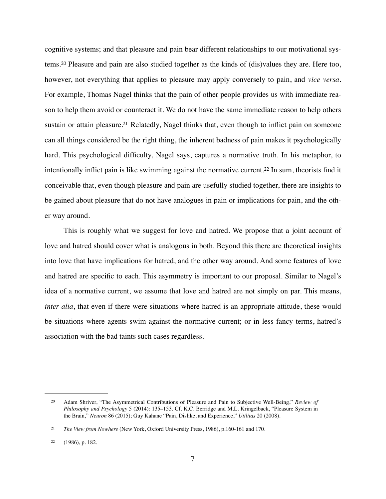<span id="page-6-4"></span><span id="page-6-3"></span>cognitive systems; and that pleasure and pain bear different relationships to our motivational sys-tems.<sup>20</sup> Pleasure and pain are also studied together as the kinds of (dis)values they are[.](#page-6-0) Here too, however, not everything that applies to pleasure may apply conversely to pain, and *vice versa*. For example, Thomas Nagel thinks that the pain of other people provides us with immediate reason to help them avoid or counteract it. We do not have the same immediate reason to help others sustain or attain pleasure.<sup>[21](#page-6-1)</sup> Relatedly, Nagel thinks that, even though to inflict pain on someone can all things considered be the right thing, the inherent badness of pain makes it psychologically hard. This psychological difficulty, Nagel says, captures a normative truth. In his metaphor, to intentionallyinflict pain is like swimming against the normative current.<sup>[22](#page-6-2)</sup> In sum, theorists find it conceivable that, even though pleasure and pain are usefully studied together, there are insights to be gained about pleasure that do not have analogues in pain or implications for pain, and the other way around.

<span id="page-6-5"></span>This is roughly what we suggest for love and hatred. We propose that a joint account of love and hatred should cover what is analogous in both. Beyond this there are theoretical insights into love that have implications for hatred, and the other way around. And some features of love and hatred are specific to each. This asymmetry is important to our proposal. Similar to Nagel's idea of a normative current, we assume that love and hatred are not simply on par. This means, *inter alia*, that even if there were situations where hatred is an appropriate attitude, these would be situations where agents swim against the normative current; or in less fancy terms, hatred's association with the bad taints such cases regardless.

<span id="page-6-0"></span>Adam Shriver, "The Asymmetrical Contributions of Pleasure and Pain to Subjective Well-Being," *Review of* [20](#page-6-3) *Philosophy and Psychology* 5 (2014): 135–153. Cf. K.C. Berridge and M.L. Kringelback, "Pleasure System in the Brain," *Neuron* 86 (2015); Guy Kahane "Pain, Dislike, and Experience," *Utilitas* 20 (2008).

<span id="page-6-1"></span>*The View from Nowhere* (New York, Oxford University Press, 1986), p.160-161 and 170. [21](#page-6-4)

<span id="page-6-2"></span> $(1986)$ , p. 182.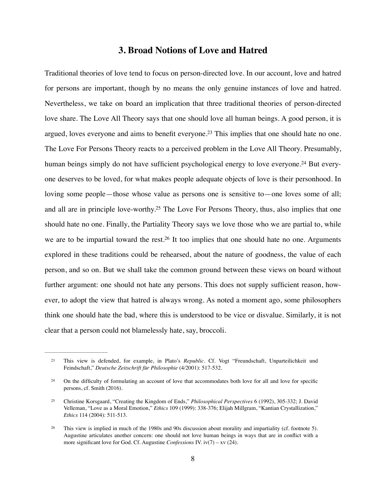#### <span id="page-7-6"></span><span id="page-7-5"></span><span id="page-7-4"></span>**3. Broad Notions of Love and Hatred**

Traditional theories of love tend to focus on person-directed love. In our account, love and hatred for persons are important, though by no means the only genuine instances of love and hatred. Nevertheless, we take on board an implication that three traditional theories of person-directed love share. The Love All Theory says that one should love all human beings. A good person, it is argued, loves everyone and aims to benefit everyone[.](#page-7-0)<sup>[23](#page-7-0)</sup> This implies that one should hate no one. The Love For Persons Theory reacts to a perceived problem in the Love All Theory. Presumably, human beings simply do not have sufficient psychological energy to love everyone[.24](#page-7-1) But everyone deserves to be loved, for what makes people adequate objects of love is their personhood. In loving some people—those whose value as persons one is sensitive to—one loves some of all; and all are in principle love-worthy.<sup>[25](#page-7-2)</sup> The Love For Persons Theory, thus, also implies that one should hate no one. Finally, the Partiality Theory says we love those who we are partial to, while we are to be impartial toward the rest.<sup>26</sup> It too implies that one should hate no one[.](#page-7-3) Arguments explored in these traditions could be rehearsed, about the nature of goodness, the value of each person, and so on. But we shall take the common ground between these views on board without further argument: one should not hate any persons. This does not supply sufficient reason, however, to adopt the view that hatred is always wrong. As noted a moment ago, some philosophers think one should hate the bad, where this is understood to be vice or disvalue. Similarly, it is not clear that a person could not blamelessly hate, say, broccoli.

<span id="page-7-7"></span><span id="page-7-0"></span>This view is defended, for example, in Plato's *Republic*. Cf. Vogt "Freundschaft, Unparteilichkeit und [23](#page-7-4) Feindschaft," *Deutsche Zeitschrift für Philosophie* (4/2001): 517-532.

<span id="page-7-1"></span><sup>&</sup>lt;sup>[24](#page-7-5)</sup> On the difficulty of formulating an account of love that accommodates both love for all and love for specific persons, cf. Smith (2016).

<span id="page-7-2"></span>Christine Korsgaard, "Creating the Kingdom of Ends," *Philosophical Perspectives* 6 (1992), 305-332; J. David [25](#page-7-6) Velleman, "Love as a Moral Emotion," *Ethics* 109 (1999): 338-376; Elijah Millgram, "Kantian Crystallization," *Ethics* 114 (2004): 511-513.

<span id="page-7-3"></span><sup>&</sup>lt;sup>[26](#page-7-7)</sup> This view is implied in much of the 1980s and 90s discussion about morality and impartiality (cf. footnote 5). Augustine articulates another concern: one should not love human beings in ways that are in conflict with a more significant love for God. Cf. Augustine *Confessions* IV. iv(7) – xv (24).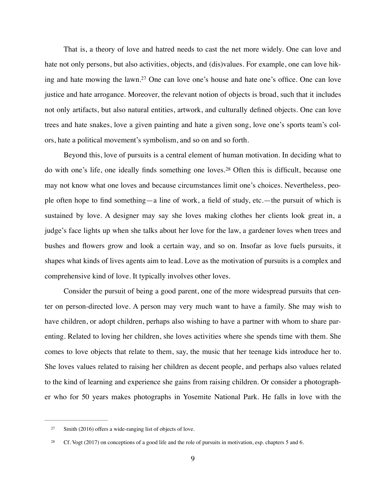<span id="page-8-2"></span>That is, a theory of love and hatred needs to cast the net more widely. One can love and hate not only persons, but also activities, objects, and (dis)values. For example, one can love hik-ing and hate mowing the lawn[.](#page-8-0)<sup>[27](#page-8-0)</sup> One can love one's house and hate one's office. One can love justice and hate arrogance. Moreover, the relevant notion of objects is broad, such that it includes not only artifacts, but also natural entities, artwork, and culturally defined objects. One can love trees and hate snakes, love a given painting and hate a given song, love one's sports team's colors, hate a political movement's symbolism, and so on and so forth.

<span id="page-8-3"></span>Beyond this, love of pursuits is a central element of human motivation. In deciding what to do with one's life, one ideally finds something one loves.<sup>[28](#page-8-1)</sup> Often this is difficult, because one may not know what one loves and because circumstances limit one's choices. Nevertheless, people often hope to find something—a line of work, a field of study, etc.—the pursuit of which is sustained by love. A designer may say she loves making clothes her clients look great in, a judge's face lights up when she talks about her love for the law, a gardener loves when trees and bushes and flowers grow and look a certain way, and so on. Insofar as love fuels pursuits, it shapes what kinds of lives agents aim to lead. Love as the motivation of pursuits is a complex and comprehensive kind of love. It typically involves other loves.

Consider the pursuit of being a good parent, one of the more widespread pursuits that center on person-directed love. A person may very much want to have a family. She may wish to have children, or adopt children, perhaps also wishing to have a partner with whom to share parenting. Related to loving her children, she loves activities where she spends time with them. She comes to love objects that relate to them, say, the music that her teenage kids introduce her to. She loves values related to raising her children as decent people, and perhaps also values related to the kind of learning and experience she gains from raising children. Or consider a photographer who for 50 years makes photographs in Yosemite National Park. He falls in love with the

<span id="page-8-0"></span>[<sup>27</sup>](#page-8-2) Smith (2016) offers a wide-ranging list of objects of love.

<span id="page-8-1"></span><sup>&</sup>lt;sup>[28](#page-8-3)</sup> Cf. Vogt (2017) on conceptions of a good life and the role of pursuits in motivation, esp. chapters 5 and 6.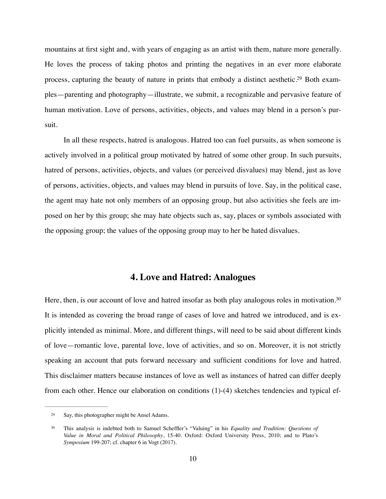<span id="page-9-2"></span>mountains at first sight and, with years of engaging as an artist with them, nature more generally. He loves the process of taking photos and printing the negatives in an ever more elaborate process, capturing the beauty of nature in prints that embody a distinct aesthetic[.29](#page-9-0) Both examples—parenting and photography—illustrate, we submit, a recognizable and pervasive feature of human motivation. Love of persons, activities, objects, and values may blend in a person's pursuit.

In all these respects, hatred is analogous. Hatred too can fuel pursuits, as when someone is actively involved in a political group motivated by hatred of some other group. In such pursuits, hatred of persons, activities, objects, and values (or perceived disvalues) may blend, just as love of persons, activities, objects, and values may blend in pursuits of love. Say, in the political case, the agent may hate not only members of an opposing group, but also activities she feels are imposed on her by this group; she may hate objects such as, say, places or symbols associated with the opposing group; the values of the opposing group may to her be hated disvalues.

## <span id="page-9-3"></span>**4. Love and Hatred: Analogues**

Here, then, is our account of love and hatred insofar as both play analogous roles in motivation.<sup>30</sup> It is intended as covering the broad range of cases of love and hatred we introduced, and is explicitly intended as minimal. More, and different things, will need to be said about different kinds of love—romantic love, parental love, love of activities, and so on. Moreover, it is not strictly speaking an account that puts forward necessary and sufficient conditions for love and hatred. This disclaimer matters because instances of love as well as instances of hatred can differ deeply from each other. Hence our elaboration on conditions (1)-(4) sketches tendencies and typical ef-

<span id="page-9-0"></span>Say, this photographer might be Ansel Adams. [29](#page-9-2)

<span id="page-9-1"></span>This analysis is indebted both to Samuel Scheffler's "Valuing" in his *Equality and Tradition: Questions of* [30](#page-9-3) *Value in Moral and Political Philosophy*, 15-40. Oxford: Oxford University Press, 2010; and to Plato's *Symposium* 199-207; cf. chapter 6 in Vogt (2017).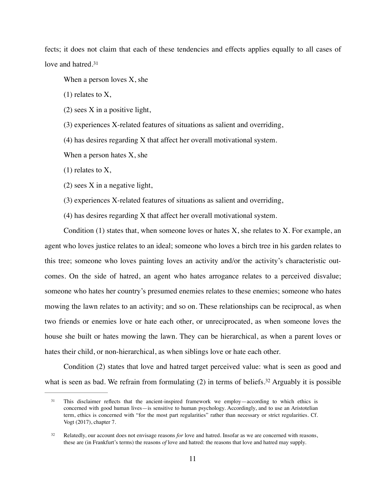fects; it does not claim that each of these tendencies and effects applies equally to all cases of love and hatred.<sup>[31](#page-10-0)</sup>

<span id="page-10-2"></span>When a person loves X, she

(1) relates to X,

(2) sees X in a positive light,

(3) experiences X-related features of situations as salient and overriding,

(4) has desires regarding X that affect her overall motivational system.

When a person hates X, she

(1) relates to X,

(2) sees X in a negative light,

(3) experiences X-related features of situations as salient and overriding,

(4) has desires regarding X that affect her overall motivational system.

Condition  $(1)$  states that, when someone loves or hates X, she relates to X. For example, an agent who loves justice relates to an ideal; someone who loves a birch tree in his garden relates to this tree; someone who loves painting loves an activity and/or the activity's characteristic outcomes. On the side of hatred, an agent who hates arrogance relates to a perceived disvalue; someone who hates her country's presumed enemies relates to these enemies; someone who hates mowing the lawn relates to an activity; and so on. These relationships can be reciprocal, as when two friends or enemies love or hate each other, or unreciprocated, as when someone loves the house she built or hates mowing the lawn. They can be hierarchical, as when a parent loves or hates their child, or non-hierarchical, as when siblings love or hate each other.

Condition (2) states that love and hatred target perceived value: what is seen as good and what is seen as bad[.](#page-10-1) We refrain from formulating  $(2)$  in terms of beliefs.<sup>[32](#page-10-1)</sup> Arguably it is possible

<span id="page-10-3"></span><span id="page-10-0"></span><sup>&</sup>lt;sup>[31](#page-10-2)</sup> This disclaimer reflects that the ancient-inspired framework we employ—according to which ethics is concerned with good human lives—is sensitive to human psychology. Accordingly, and to use an Aristotelian term, ethics is concerned with "for the most part regularities" rather than necessary or strict regularities. Cf. Vogt (2017), chapter 7.

<span id="page-10-1"></span>Relatedly, our account does not envisage reasons *for* love and hatred. Insofar as we are concerned with reasons, [32](#page-10-3) these are (in Frankfurt's terms) the reasons *of* love and hatred: the reasons that love and hatred may supply.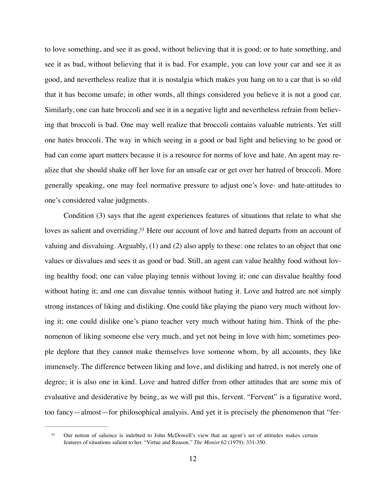to love something, and see it as good, without believing that it is good; or to hate something, and see it as bad, without believing that it is bad. For example, you can love your car and see it as good, and nevertheless realize that it is nostalgia which makes you hang on to a car that is so old that it has become unsafe; in other words, all things considered you believe it is not a good car. Similarly, one can hate broccoli and see it in a negative light and nevertheless refrain from believing that broccoli is bad. One may well realize that broccoli contains valuable nutrients. Yet still one hates broccoli. The way in which seeing in a good or bad light and believing to be good or bad can come apart matters because it is a resource for norms of love and hate. An agent may realize that she should shake off her love for an unsafe car or get over her hatred of broccoli. More generally speaking, one may feel normative pressure to adjust one's love- and hate-attitudes to one's considered value judgments.

<span id="page-11-1"></span>Condition (3) says that the agent experiences features of situations that relate to what she loves as salient and overriding.<sup>[33](#page-11-0)</sup> Here our account of love and hatred departs from an account of valuing and disvaluing. Arguably, (1) and (2) also apply to these: one relates to an object that one values or disvalues and sees it as good or bad. Still, an agent can value healthy food without loving healthy food; one can value playing tennis without loving it; one can disvalue healthy food without hating it; and one can disvalue tennis without hating it. Love and hatred are not simply strong instances of liking and disliking. One could like playing the piano very much without loving it; one could dislike one's piano teacher very much without hating him. Think of the phenomenon of liking someone else very much, and yet not being in love with him; sometimes people deplore that they cannot make themselves love someone whom, by all accounts, they like immensely. The difference between liking and love, and disliking and hatred, is not merely one of degree; it is also one in kind. Love and hatred differ from other attitudes that are some mix of evaluative and desiderative by being, as we will put this, fervent. "Fervent" is a figurative word, too fancy—almost—for philosophical analysis. And yet it is precisely the phenomenon that "fer-

<span id="page-11-0"></span><sup>&</sup>lt;sup>[33](#page-11-1)</sup> Our notion of salience is indebted to John McDowell's view that an agent's set of attitudes makes certain features of situations salient to her. "Virtue and Reason." *The Monist* 62 (1979): 331-350.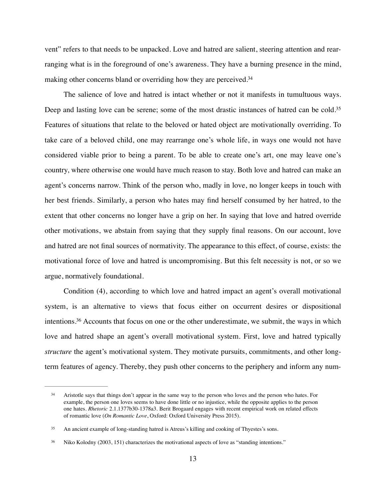vent" refers to that needs to be unpacked. Love and hatred are salient, steering attention and rearranging what is in the foreground of one's awareness. They have a burning presence in the mind, making other concerns bland or overriding how they are perceived.<sup>34</sup>

<span id="page-12-4"></span><span id="page-12-3"></span>The salience of love and hatred is intact whether or not it manifests in tumultuous ways. Deep and lasting love can be serene; some of the most drastic instances of hatred can be cold.<sup>35</sup> Features of situations that relate to the beloved or hated object are motivationally overriding. To take care of a beloved child, one may rearrange one's whole life, in ways one would not have considered viable prior to being a parent. To be able to create one's art, one may leave one's country, where otherwise one would have much reason to stay. Both love and hatred can make an agent's concerns narrow. Think of the person who, madly in love, no longer keeps in touch with her best friends. Similarly, a person who hates may find herself consumed by her hatred, to the extent that other concerns no longer have a grip on her. In saying that love and hatred override other motivations, we abstain from saying that they supply final reasons. On our account, love and hatred are not final sources of normativity. The appearance to this effect, of course, exists: the motivational force of love and hatred is uncompromising. But this felt necessity is not, or so we argue, normatively foundational.

<span id="page-12-5"></span>Condition (4), according to which love and hatred impact an agent's overall motivational system, is an alternative to views that focus either on occurrent desires or dispositional intentions[.](#page-12-2)<sup>[36](#page-12-2)</sup> Accounts that focus on one or the other underestimate, we submit, the ways in which love and hatred shape an agent's overall motivational system. First, love and hatred typically *structure* the agent's motivational system. They motivate pursuits, commitments, and other longterm features of agency. Thereby, they push other concerns to the periphery and inform any num-

<span id="page-12-0"></span><sup>&</sup>lt;sup>[34](#page-12-3)</sup> Aristotle says that things don't appear in the same way to the person who loves and the person who hates. For example, the person one loves seems to have done little or no injustice, while the opposite applies to the person one hates. *Rhetoric* 2.1.1377b30-1378a3. Berit Brogaard engages with recent empirical work on related effects of romantic love (*On Romantic Love*, Oxford: Oxford University Press 2015).

<span id="page-12-1"></span>An ancient example of long-standing hatred is Atreus's killing and cooking of Thyestes's sons. [35](#page-12-4)

<span id="page-12-2"></span>Niko Kolodny (2003, 151) characterizes the motivational aspects of love as "standing intentions." [36](#page-12-5)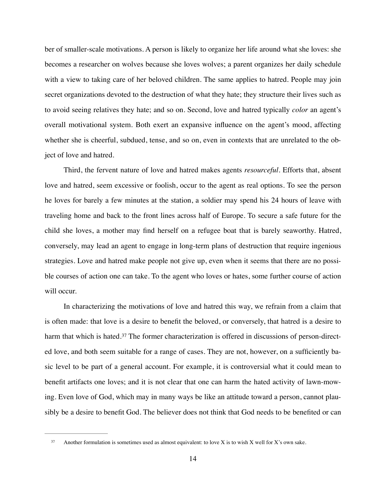ber of smaller-scale motivations. A person is likely to organize her life around what she loves: she becomes a researcher on wolves because she loves wolves; a parent organizes her daily schedule with a view to taking care of her beloved children. The same applies to hatred. People may join secret organizations devoted to the destruction of what they hate; they structure their lives such as to avoid seeing relatives they hate; and so on. Second, love and hatred typically *color* an agent's overall motivational system. Both exert an expansive influence on the agent's mood, affecting whether she is cheerful, subdued, tense, and so on, even in contexts that are unrelated to the object of love and hatred.

Third, the fervent nature of love and hatred makes agents *resourceful*. Efforts that, absent love and hatred, seem excessive or foolish, occur to the agent as real options. To see the person he loves for barely a few minutes at the station, a soldier may spend his 24 hours of leave with traveling home and back to the front lines across half of Europe. To secure a safe future for the child she loves, a mother may find herself on a refugee boat that is barely seaworthy. Hatred, conversely, may lead an agent to engage in long-term plans of destruction that require ingenious strategies. Love and hatred make people not give up, even when it seems that there are no possible courses of action one can take. To the agent who loves or hates, some further course of action will occur.

<span id="page-13-1"></span>In characterizing the motivations of love and hatred this way, we refrain from a claim that is often made: that love is a desire to benefit the beloved, or conversely, that hatred is a desire to harmthat which is hated.<sup>37</sup> The former characterization is offered in discussions of person-directed love, and both seem suitable for a range of cases. They are not, however, on a sufficiently basic level to be part of a general account. For example, it is controversial what it could mean to benefit artifacts one loves; and it is not clear that one can harm the hated activity of lawn-mowing. Even love of God, which may in many ways be like an attitude toward a person, cannot plausibly be a desire to benefit God. The believer does not think that God needs to be benefited or can

<span id="page-13-0"></span><sup>&</sup>lt;sup>[37](#page-13-1)</sup> Another formulation is sometimes used as almost equivalent: to love X is to wish X well for X's own sake.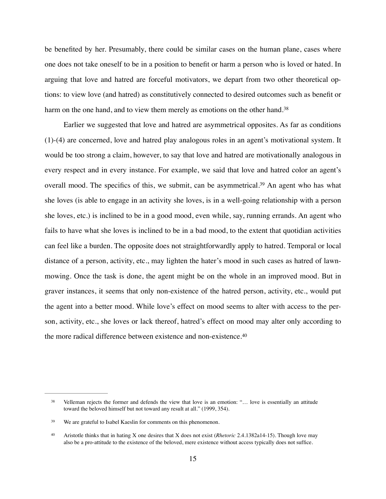be benefited by her. Presumably, there could be similar cases on the human plane, cases where one does not take oneself to be in a position to benefit or harm a person who is loved or hated. In arguing that love and hatred are forceful motivators, we depart from two other theoretical options: to view love (and hatred) as constitutively connected to desired outcomes such as benefit or harm on the one hand, and to view them merely as emotions on the other hand.<sup>[38](#page-14-0)</sup>

<span id="page-14-4"></span><span id="page-14-3"></span>Earlier we suggested that love and hatred are asymmetrical opposites. As far as conditions (1)-(4) are concerned, love and hatred play analogous roles in an agent's motivational system. It would be too strong a claim, however, to say that love and hatred are motivationally analogous in every respect and in every instance. For example, we said that love and hatred color an agent's overall mood[.](#page-14-1) The specifics of this, we submit, can be asymmetrical.<sup>[39](#page-14-1)</sup> An agent who has what she loves (is able to engage in an activity she loves, is in a well-going relationship with a person she loves, etc.) is inclined to be in a good mood, even while, say, running errands. An agent who fails to have what she loves is inclined to be in a bad mood, to the extent that quotidian activities can feel like a burden. The opposite does not straightforwardly apply to hatred. Temporal or local distance of a person, activity, etc., may lighten the hater's mood in such cases as hatred of lawnmowing. Once the task is done, the agent might be on the whole in an improved mood. But in graver instances, it seems that only non-existence of the hatred person, activity, etc., would put the agent into a better mood. While love's effect on mood seems to alter with access to the person, activity, etc., she loves or lack thereof, hatred's effect on mood may alter only according to the more radical difference between existence and non-existence.[40](#page-14-2)

<span id="page-14-5"></span><span id="page-14-0"></span><sup>&</sup>lt;sup>[38](#page-14-3)</sup> Velleman rejects the former and defends the view that love is an emotion: "... love is essentially an attitude toward the beloved himself but not toward any result at all." (1999, 354).

<span id="page-14-1"></span><sup>&</sup>lt;sup>[39](#page-14-4)</sup> We are grateful to Isabel Kaeslin for comments on this phenomenon.

<span id="page-14-2"></span>Aristotle thinks that in hating X one desires that X does not exist (*Rhetoric* 2.4.1382a14-15). Though love may [40](#page-14-5) also be a pro-attitude to the existence of the beloved, mere existence without access typically does not suffice.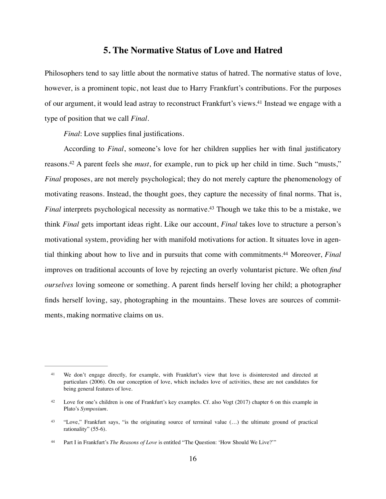#### <span id="page-15-4"></span>**5. The Normative Status of Love and Hatred**

Philosophers tend to say little about the normative status of hatred. The normative status of love, however, is a prominent topic, not least due to Harry Frankfurt's contributions. For the purposes of our argument, it would lead astray to reconstruct Frankfurt's views[.](#page-15-0)<sup>[41](#page-15-0)</sup> Instead we engage with a type of position that we call *Final*.

<span id="page-15-7"></span><span id="page-15-6"></span>*Final*: Love supplies final justifications.

<span id="page-15-5"></span>According to *Final*, someone's love for her children supplies her with final justificatory reasons.<sup>42</sup> A parent feels she *must*, for example, run to pick up her child in time. Such "musts," *Final* proposes, are not merely psychological; they do not merely capture the phenomenology of motivating reasons. Instead, the thought goes, they capture the necessity of final norms. That is, *Final* interprets psychological necessity as normative.<sup>[43](#page-15-2)</sup> Though we take this to be a mistake, we think *Final* gets important ideas right. Like our account, *Final* takes love to structure a person's motivational system, providing her with manifold motivations for action. It situates love in agential thinking about how to live and in pursuits that come with commitments.<sup>44</sup> Moreover, *Final* improves on traditional accounts of love by rejecting an overly voluntarist picture. We often *find ourselves* loving someone or something. A parent finds herself loving her child; a photographer finds herself loving, say, photographing in the mountains. These loves are sources of commitments, making normative claims on us.

<span id="page-15-0"></span>We don't engage directly, for example, with Frankfurt's view that love is disinterested and directed at particulars (2006). On our conception of love, which includes love of activities, these are not candidates for being general features of love.

<span id="page-15-1"></span><sup>&</sup>lt;sup>[42](#page-15-5)</sup> Love for one's children is one of Frankfurt's key examples. Cf. also Vogt (2017) chapter 6 on this example in Plato's *Symposium*.

<span id="page-15-2"></span><sup>&</sup>lt;sup>[43](#page-15-6)</sup> "Love," Frankfurt says, "is the originating source of terminal value (...) the ultimate ground of practical rationality" (55-6).

<span id="page-15-3"></span>Part I in Frankfurt's *The Reasons of Love* is entitled "The Question: 'How Should We Live?'" [44](#page-15-7)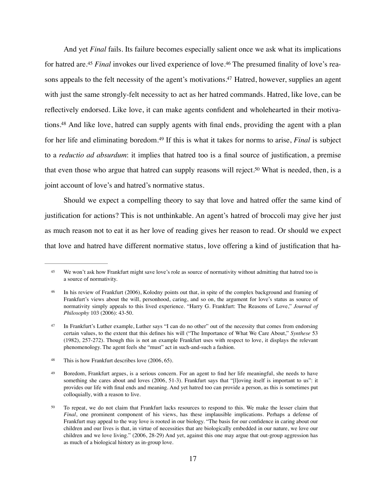<span id="page-16-9"></span><span id="page-16-8"></span><span id="page-16-7"></span><span id="page-16-6"></span>And yet *Final* fails. Its failure becomes especially salient once we ask what its implications for hatred are.<sup>[45](#page-16-0)</sup> Final invokes our lived experience of love.<sup>46</sup> The presumed finality of love's rea-sons appeals to the felt necessity of the agent's motivations.<sup>[47](#page-16-2)</sup> Hatred, however, supplies an agent with just the same strongly-felt necessity to act as her hatred commands. Hatred, like love, can be reflectively endorsed. Like love, it can make agents confident and wholehearted in their motiva-tions.<sup>[48](#page-16-3)</sup> And like love, hatred can supply agents with final ends, providing the agent with a plan for her life and eliminating boredom.<sup>49</sup> If this is what it takes for norms to arise, *Final* is subject to a *reductio ad absurdum*: it implies that hatred too is a final source of justification, a premise that even those who argue that hatred can supply reasons will reject[.](#page-16-5)<sup>[50](#page-16-5)</sup> What is needed, then, is a joint account of love's and hatred's normative status.

<span id="page-16-11"></span><span id="page-16-10"></span>Should we expect a compelling theory to say that love and hatred offer the same kind of justification for actions? This is not unthinkable. An agent's hatred of broccoli may give her just as much reason not to eat it as her love of reading gives her reason to read. Or should we expect that love and hatred have different normative status, love offering a kind of justification that ha-

<span id="page-16-0"></span><sup>&</sup>lt;sup>[45](#page-16-6)</sup> We won't ask how Frankfurt might save love's role as source of normativity without admitting that hatred too is a source of normativity.

<span id="page-16-1"></span><sup>&</sup>lt;sup>[46](#page-16-7)</sup> In his review of Frankfurt (2006), Kolodny points out that, in spite of the complex background and framing of Frankfurt's views about the will, personhood, caring, and so on, the argument for love's status as source of normativity simply appeals to this lived experience. "Harry G. Frankfurt: The Reasons of Love," *Journal of Philosophy* 103 (2006): 43-50.

<span id="page-16-2"></span><sup>&</sup>lt;sup>[47](#page-16-8)</sup> In Frankfurt's Luther example, Luther says "I can do no other" out of the necessity that comes from endorsing certain values, to the extent that this defines his will ("The Importance of What We Care About," *Synthese* 53 (1982), 257-272). Though this is not an example Frankfurt uses with respect to love, it displays the relevant phenomenology. The agent feels she "must" act in such-and-such a fashion.

<span id="page-16-3"></span><sup>&</sup>lt;sup>[48](#page-16-9)</sup> This is how Frankfurt describes love (2006, 65).

<span id="page-16-4"></span><sup>&</sup>lt;sup>[49](#page-16-10)</sup> Boredom, Frankfurt argues, is a serious concern. For an agent to find her life meaningful, she needs to have something she cares about and loves (2006, 51-3). Frankfurt says that "[l]oving itself is important to us": it provides our life with final ends and meaning. And yet hatred too can provide a person, as this is sometimes put colloquially, with a reason to live.

<span id="page-16-5"></span><sup>&</sup>lt;sup>[50](#page-16-11)</sup> To repeat, we do not claim that Frankfurt lacks resources to respond to this. We make the lesser claim that *Final*, one prominent component of his views, has these implausible implications. Perhaps a defense of Frankfurt may appeal to the way love is rooted in our biology. "The basis for our confidence in caring about our children and our lives is that, in virtue of necessities that are biologically embedded in our nature, we love our children and we love living." (2006, 28-29) And yet, against this one may argue that out-group aggression has as much of a biological history as in-group love.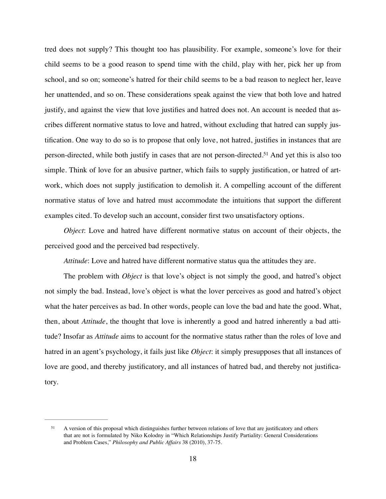tred does not supply? This thought too has plausibility. For example, someone's love for their child seems to be a good reason to spend time with the child, play with her, pick her up from school, and so on; someone's hatred for their child seems to be a bad reason to neglect her, leave her unattended, and so on. These considerations speak against the view that both love and hatred justify, and against the view that love justifies and hatred does not. An account is needed that ascribes different normative status to love and hatred, without excluding that hatred can supply justification. One way to do so is to propose that only love, not hatred, justifies in instances that are person-directed, while both justify in cases that are not person-directed[.](#page-17-0)<sup>[51](#page-17-0)</sup> And yet this is also too simple. Think of love for an abusive partner, which fails to supply justification, or hatred of artwork, which does not supply justification to demolish it. A compelling account of the different normative status of love and hatred must accommodate the intuitions that support the different examples cited. To develop such an account, consider first two unsatisfactory options.

*Object*: Love and hatred have different normative status on account of their objects, the perceived good and the perceived bad respectively.

<span id="page-17-1"></span>*Attitude*: Love and hatred have different normative status qua the attitudes they are.

The problem with *Object* is that love's object is not simply the good, and hatred's object not simply the bad. Instead, love's object is what the lover perceives as good and hatred's object what the hater perceives as bad. In other words, people can love the bad and hate the good. What, then, about *Attitude*, the thought that love is inherently a good and hatred inherently a bad attitude? Insofar as *Attitude* aims to account for the normative status rather than the roles of love and hatred in an agent's psychology, it fails just like *Object*: it simply presupposes that all instances of love are good, and thereby justificatory, and all instances of hatred bad, and thereby not justificatory.

<span id="page-17-0"></span>A version of this proposal which distinguishes further between relations of love that are justificatory and others that are not is formulated by Niko Kolodny in "Which Relationships Justify Partiality: General Considerations and Problem Cases," *Philosophy and Public Affairs* 38 (2010), 37-75.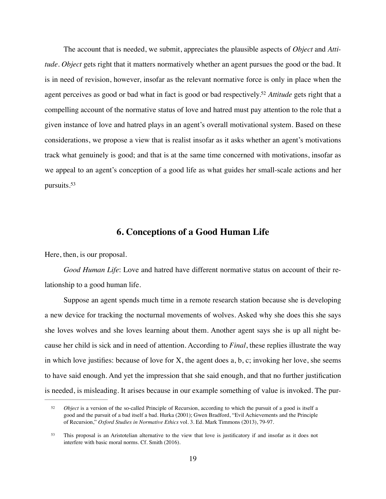The account that is needed, we submit, appreciates the plausible aspects of *Object* and *Attitude*. *Object* gets right that it matters normatively whether an agent pursues the good or the bad. It is in need of revision, however, insofar as the relevant normative force is only in place when the agent perceives as good or bad what in fact is good or bad respectively.<sup>[52](#page-18-0)</sup> Attitude gets right that a compelling account of the normative status of love and hatred must pay attention to the role that a given instance of love and hatred plays in an agent's overall motivational system. Based on these considerations, we propose a view that is realist insofar as it asks whether an agent's motivations track what genuinely is good; and that is at the same time concerned with motivations, insofar as we appeal to an agent's conception of a good life as what guides her small-scale actions and her pursuits[.53](#page-18-1)

#### <span id="page-18-3"></span><span id="page-18-2"></span>**6. Conceptions of a Good Human Life**

Here, then, is our proposal.

*Good Human Life*: Love and hatred have different normative status on account of their relationship to a good human life.

Suppose an agent spends much time in a remote research station because she is developing a new device for tracking the nocturnal movements of wolves. Asked why she does this she says she loves wolves and she loves learning about them. Another agent says she is up all night because her child is sick and in need of attention. According to *Final*, these replies illustrate the way in which love justifies: because of love for  $X$ , the agent does  $a, b, c$ ; invoking her love, she seems to have said enough. And yet the impression that she said enough, and that no further justification is needed, is misleading. It arises because in our example something of value is invoked. The pur-

<span id="page-18-0"></span><sup>&</sup>lt;sup>[52](#page-18-2)</sup> Object is a version of the so-called Principle of Recursion, according to which the pursuit of a good is itself a good and the pursuit of a bad itself a bad. Hurka (2001); Gwen Bradford, "Evil Achievements and the Principle of Recursion," *Oxford Studies in Normative Ethics* vol. 3. Ed. Mark Timmons (2013), 79-97.

<span id="page-18-1"></span>This proposal is an Aristotelian alternative to the view that love is justificatory if and insofar as it does not [53](#page-18-3) interfere with basic moral norms. Cf. Smith (2016).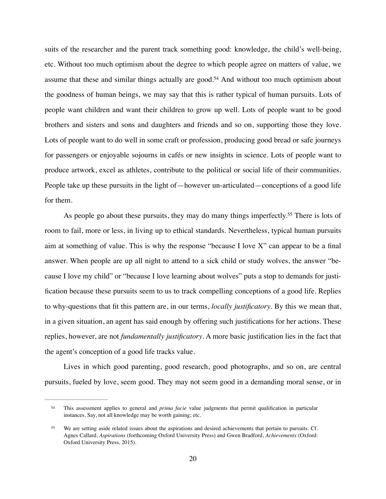<span id="page-19-2"></span>suits of the researcher and the parent track something good: knowledge, the child's well-being, etc. Without too much optimism about the degree to which people agree on matters of value, we assume that these and similar things actually are good.<sup>[54](#page-19-0)</sup> And without too much optimism about the goodness of human beings, we may say that this is rather typical of human pursuits. Lots of people want children and want their children to grow up well. Lots of people want to be good brothers and sisters and sons and daughters and friends and so on, supporting those they love. Lots of people want to do well in some craft or profession, producing good bread or safe journeys for passengers or enjoyable sojourns in cafés or new insights in science. Lots of people want to produce artwork, excel as athletes, contribute to the political or social life of their communities. People take up these pursuits in the light of—however un-articulated—conceptions of a good life for them.

<span id="page-19-3"></span>As people go about these pursuits, they may do many things imperfectly[.](#page-19-1)<sup>[55](#page-19-1)</sup> There is lots of room to fail, more or less, in living up to ethical standards. Nevertheless, typical human pursuits aim at something of value. This is why the response "because I love X" can appear to be a final answer. When people are up all night to attend to a sick child or study wolves, the answer "because I love my child" or "because I love learning about wolves" puts a stop to demands for justification because these pursuits seem to us to track compelling conceptions of a good life. Replies to why-questions that fit this pattern are, in our terms, *locally justificatory*. By this we mean that, in a given situation, an agent has said enough by offering such justifications for her actions. These replies, however, are not *fundamentally justificatory*. A more basic justification lies in the fact that the agent's conception of a good life tracks value.

Lives in which good parenting, good research, good photographs, and so on, are central pursuits, fueled by love, seem good. They may not seem good in a demanding moral sense, or in

<span id="page-19-0"></span>This assessment applies to general and *prima facie* value judgments that permit qualification in particular instances. Say, not all knowledge may be worth gaining; etc.

<span id="page-19-1"></span>[<sup>55</sup>](#page-19-3) We are setting aside related issues about the aspirations and desired achievements that pertain to pursuits. Cf. Agnes Callard, *Aspirations* (forthcoming Oxford University Press) and Gwen Bradford, *Achievements* (Oxford: Oxford University Press, 2015).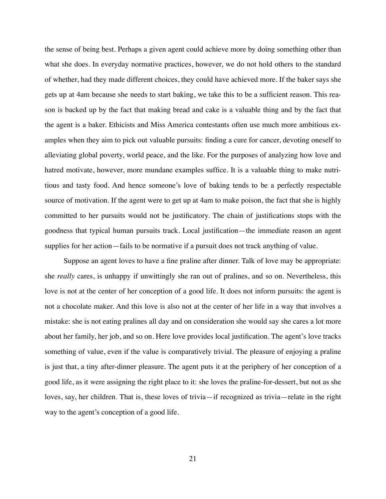the sense of being best. Perhaps a given agent could achieve more by doing something other than what she does. In everyday normative practices, however, we do not hold others to the standard of whether, had they made different choices, they could have achieved more. If the baker says she gets up at 4am because she needs to start baking, we take this to be a sufficient reason. This reason is backed up by the fact that making bread and cake is a valuable thing and by the fact that the agent is a baker. Ethicists and Miss America contestants often use much more ambitious examples when they aim to pick out valuable pursuits: finding a cure for cancer, devoting oneself to alleviating global poverty, world peace, and the like. For the purposes of analyzing how love and hatred motivate, however, more mundane examples suffice. It is a valuable thing to make nutritious and tasty food. And hence someone's love of baking tends to be a perfectly respectable source of motivation. If the agent were to get up at 4am to make poison, the fact that she is highly committed to her pursuits would not be justificatory. The chain of justifications stops with the goodness that typical human pursuits track. Local justification—the immediate reason an agent supplies for her action—fails to be normative if a pursuit does not track anything of value.

Suppose an agent loves to have a fine praline after dinner. Talk of love may be appropriate: she *really* cares, is unhappy if unwittingly she ran out of pralines, and so on. Nevertheless, this love is not at the center of her conception of a good life. It does not inform pursuits: the agent is not a chocolate maker. And this love is also not at the center of her life in a way that involves a mistake: she is not eating pralines all day and on consideration she would say she cares a lot more about her family, her job, and so on. Here love provides local justification. The agent's love tracks something of value, even if the value is comparatively trivial. The pleasure of enjoying a praline is just that, a tiny after-dinner pleasure. The agent puts it at the periphery of her conception of a good life, as it were assigning the right place to it: she loves the praline-for-dessert, but not as she loves, say, her children. That is, these loves of trivia—if recognized as trivia—relate in the right way to the agent's conception of a good life.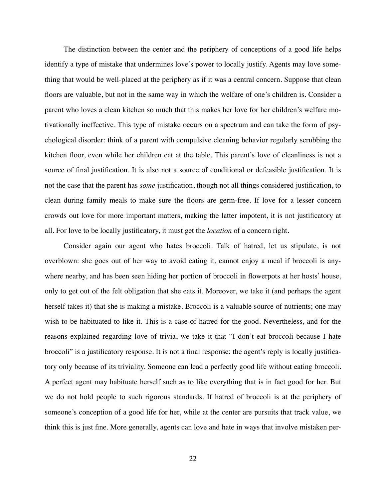The distinction between the center and the periphery of conceptions of a good life helps identify a type of mistake that undermines love's power to locally justify. Agents may love something that would be well-placed at the periphery as if it was a central concern. Suppose that clean floors are valuable, but not in the same way in which the welfare of one's children is. Consider a parent who loves a clean kitchen so much that this makes her love for her children's welfare motivationally ineffective. This type of mistake occurs on a spectrum and can take the form of psychological disorder: think of a parent with compulsive cleaning behavior regularly scrubbing the kitchen floor, even while her children eat at the table. This parent's love of cleanliness is not a source of final justification. It is also not a source of conditional or defeasible justification. It is not the case that the parent has *some* justification, though not all things considered justification, to clean during family meals to make sure the floors are germ-free. If love for a lesser concern crowds out love for more important matters, making the latter impotent, it is not justificatory at all. For love to be locally justificatory, it must get the *location* of a concern right.

Consider again our agent who hates broccoli. Talk of hatred, let us stipulate, is not overblown: she goes out of her way to avoid eating it, cannot enjoy a meal if broccoli is anywhere nearby, and has been seen hiding her portion of broccoli in flowerpots at her hosts' house, only to get out of the felt obligation that she eats it. Moreover, we take it (and perhaps the agent herself takes it) that she is making a mistake. Broccoli is a valuable source of nutrients; one may wish to be habituated to like it. This is a case of hatred for the good. Nevertheless, and for the reasons explained regarding love of trivia, we take it that "I don't eat broccoli because I hate broccoli" is a justificatory response. It is not a final response: the agent's reply is locally justificatory only because of its triviality. Someone can lead a perfectly good life without eating broccoli. A perfect agent may habituate herself such as to like everything that is in fact good for her. But we do not hold people to such rigorous standards. If hatred of broccoli is at the periphery of someone's conception of a good life for her, while at the center are pursuits that track value, we think this is just fine. More generally, agents can love and hate in ways that involve mistaken per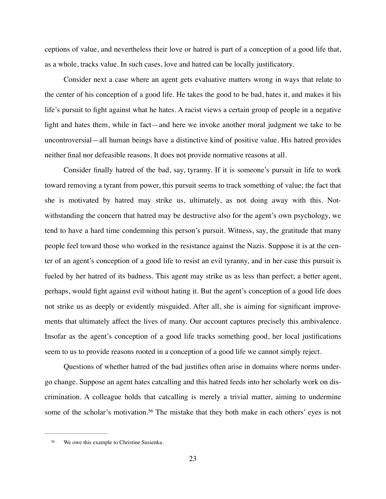ceptions of value, and nevertheless their love or hatred is part of a conception of a good life that, as a whole, tracks value. In such cases, love and hatred can be locally justificatory.

Consider next a case where an agent gets evaluative matters wrong in ways that relate to the center of his conception of a good life. He takes the good to be bad, hates it, and makes it his life's pursuit to fight against what he hates. A racist views a certain group of people in a negative light and hates them, while in fact—and here we invoke another moral judgment we take to be uncontroversial—all human beings have a distinctive kind of positive value. His hatred provides neither final nor defeasible reasons. It does not provide normative reasons at all.

Consider finally hatred of the bad, say, tyranny. If it is someone's pursuit in life to work toward removing a tyrant from power, this pursuit seems to track something of value; the fact that she is motivated by hatred may strike us, ultimately, as not doing away with this. Notwithstanding the concern that hatred may be destructive also for the agent's own psychology, we tend to have a hard time condemning this person's pursuit. Witness, say, the gratitude that many people feel toward those who worked in the resistance against the Nazis. Suppose it is at the center of an agent's conception of a good life to resist an evil tyranny, and in her case this pursuit is fueled by her hatred of its badness. This agent may strike us as less than perfect; a better agent, perhaps, would fight against evil without hating it. But the agent's conception of a good life does not strike us as deeply or evidently misguided. After all, she is aiming for significant improvements that ultimately affect the lives of many. Our account captures precisely this ambivalence. Insofar as the agent's conception of a good life tracks something good, her local justifications seem to us to provide reasons rooted in a conception of a good life we cannot simply reject.

Questions of whether hatred of the bad justifies often arise in domains where norms undergo change. Suppose an agent hates catcalling and this hatred feeds into her scholarly work on discrimination. A colleague holds that catcalling is merely a trivial matter, aiming to undermine some of the scholar's motivation[.](#page-22-0)<sup>[56](#page-22-0)</sup> The mistake that they both make in each others' eyes is not

<span id="page-22-1"></span><span id="page-22-0"></span>We owe this example to Christine Susienka. [56](#page-22-1)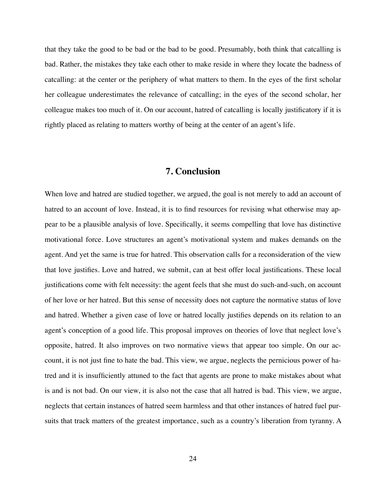that they take the good to be bad or the bad to be good. Presumably, both think that catcalling is bad. Rather, the mistakes they take each other to make reside in where they locate the badness of catcalling: at the center or the periphery of what matters to them. In the eyes of the first scholar her colleague underestimates the relevance of catcalling; in the eyes of the second scholar, her colleague makes too much of it. On our account, hatred of catcalling is locally justificatory if it is rightly placed as relating to matters worthy of being at the center of an agent's life.

## **7. Conclusion**

When love and hatred are studied together, we argued, the goal is not merely to add an account of hatred to an account of love. Instead, it is to find resources for revising what otherwise may appear to be a plausible analysis of love. Specifically, it seems compelling that love has distinctive motivational force. Love structures an agent's motivational system and makes demands on the agent. And yet the same is true for hatred. This observation calls for a reconsideration of the view that love justifies. Love and hatred, we submit, can at best offer local justifications. These local justifications come with felt necessity: the agent feels that she must do such-and-such, on account of her love or her hatred. But this sense of necessity does not capture the normative status of love and hatred. Whether a given case of love or hatred locally justifies depends on its relation to an agent's conception of a good life. This proposal improves on theories of love that neglect love's opposite, hatred. It also improves on two normative views that appear too simple. On our account, it is not just fine to hate the bad. This view, we argue, neglects the pernicious power of hatred and it is insufficiently attuned to the fact that agents are prone to make mistakes about what is and is not bad. On our view, it is also not the case that all hatred is bad. This view, we argue, neglects that certain instances of hatred seem harmless and that other instances of hatred fuel pursuits that track matters of the greatest importance, such as a country's liberation from tyranny. A